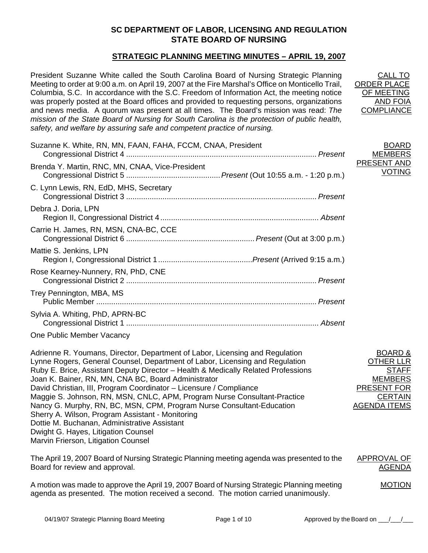# **SC DEPARTMENT OF LABOR, LICENSING AND REGULATION STATE BOARD OF NURSING**

# **STRATEGIC PLANNING MEETING MINUTES – APRIL 19, 2007**

President Suzanne White called the South Carolina Board of Nursing Strategic Planning Meeting to order at 9:00 a.m. on April 19, 2007 at the Fire Marshal's Office on Monticello Trail, Columbia, S.C. In accordance with the S.C. Freedom of Information Act, the meeting notice was properly posted at the Board offices and provided to requesting persons, organizations and news media. A quorum was present at all times. The Board's mission was read: *The mission of the State Board of Nursing for South Carolina is the protection of public health, safety, and welfare by assuring safe and competent practice of nursing.*

Suzanne K. White, RN, MN, FAAN, FAHA, FCCM, CNAA, President Congressional District 4 ......................................................................................... *Present* Brenda Y. Martin, RNC, MN, CNAA, Vice-President Congressional District 5 ............................................*Present* (Out 10:55 a.m. - 1:20 p.m.) C. Lynn Lewis, RN, EdD, MHS, Secretary Congressional District 3 ......................................................................................... *Present* Debra J. Doria, LPN Region II, Congressional District 4.......................................................................... *Absent* Carrie H. James, RN, MSN, CNA-BC, CCE Congressional District 6 ............................................................*Present* (Out at 3:00 p.m.) Mattie S. Jenkins, LPN Region I, Congressional District 1............................................*Present* (Arrived 9:15 a.m.) Rose Kearney-Nunnery, RN, PhD, CNE Congressional District 2 ......................................................................................... *Present* Trey Pennington, MBA, MS Public Member ....................................................................................................... *Present* Sylvia A. Whiting, PhD, APRN-BC Congressional District 1 .......................................................................................... *Absent* BOARD MEMBERS PRESENT AND VOTING

One Public Member Vacancy

Adrienne R. Youmans, Director, Department of Labor, Licensing and Regulation Lynne Rogers, General Counsel, Department of Labor, Licensing and Regulation Ruby E. Brice, Assistant Deputy Director – Health & Medically Related Professions Joan K. Bainer, RN, MN, CNA BC, Board Administrator David Christian, III, Program Coordinator – Licensure / Compliance Maggie S. Johnson, RN, MSN, CNLC, APM, Program Nurse Consultant-Practice Nancy G. Murphy, RN, BC, MSN, CPM, Program Nurse Consultant-Education Sherry A. Wilson, Program Assistant - Monitoring Dottie M. Buchanan, Administrative Assistant Dwight G. Hayes, Litigation Counsel Marvin Frierson, Litigation Counsel BOARD & OTHER LLR STAFF **MEMBERS** PRESENT FOR **CERTAIN** AGENDA ITEMS

The April 19, 2007 Board of Nursing Strategic Planning meeting agenda was presented to the Board for review and approval. APPROVAL OF AGENDA

A motion was made to approve the April 19, 2007 Board of Nursing Strategic Planning meeting agenda as presented. The motion received a second. The motion carried unanimously. MOTION

CALL TO

ORDER PLACE OF MEETING AND FOIA **COMPLIANCE**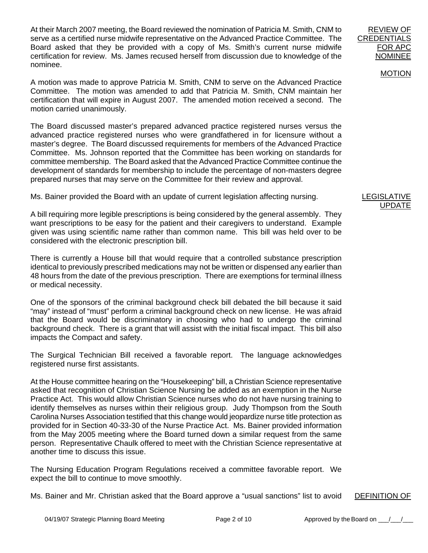At their March 2007 meeting, the Board reviewed the nomination of Patricia M. Smith, CNM to serve as a certified nurse midwife representative on the Advanced Practice Committee. The Board asked that they be provided with a copy of Ms. Smith's current nurse midwife certification for review. Ms. James recused herself from discussion due to knowledge of the nominee.

A motion was made to approve Patricia M. Smith, CNM to serve on the Advanced Practice Committee. The motion was amended to add that Patricia M. Smith, CNM maintain her certification that will expire in August 2007. The amended motion received a second. The motion carried unanimously.

The Board discussed master's prepared advanced practice registered nurses versus the advanced practice registered nurses who were grandfathered in for licensure without a master's degree. The Board discussed requirements for members of the Advanced Practice Committee. Ms. Johnson reported that the Committee has been working on standards for committee membership. The Board asked that the Advanced Practice Committee continue the development of standards for membership to include the percentage of non-masters degree prepared nurses that may serve on the Committee for their review and approval.

Ms. Bainer provided the Board with an update of current legislation affecting nursing.

A bill requiring more legible prescriptions is being considered by the general assembly. They want prescriptions to be easy for the patient and their caregivers to understand. Example given was using scientific name rather than common name. This bill was held over to be considered with the electronic prescription bill.

There is currently a House bill that would require that a controlled substance prescription identical to previously prescribed medications may not be written or dispensed any earlier than 48 hours from the date of the previous prescription. There are exemptions for terminal illness or medical necessity.

One of the sponsors of the criminal background check bill debated the bill because it said "may" instead of "must" perform a criminal background check on new license. He was afraid that the Board would be discriminatory in choosing who had to undergo the criminal background check. There is a grant that will assist with the initial fiscal impact. This bill also impacts the Compact and safety.

The Surgical Technician Bill received a favorable report. The language acknowledges registered nurse first assistants.

At the House committee hearing on the "Housekeeping" bill, a Christian Science representative asked that recognition of Christian Science Nursing be added as an exemption in the Nurse Practice Act. This would allow Christian Science nurses who do not have nursing training to identify themselves as nurses within their religious group. Judy Thompson from the South Carolina Nurses Association testified that this change would jeopardize nurse title protection as provided for in Section 40-33-30 of the Nurse Practice Act. Ms. Bainer provided information from the May 2005 meeting where the Board turned down a similar request from the same person. Representative Chaulk offered to meet with the Christian Science representative at another time to discuss this issue.

The Nursing Education Program Regulations received a committee favorable report. We expect the bill to continue to move smoothly.

Ms. Bainer and Mr. Christian asked that the Board approve a "usual sanctions" list to avoid DEFINITION OF

### REVIEW OF **CREDENTIALS** FOR APC NOMINEE

#### MOTION

#### LEGISLATIV UPDA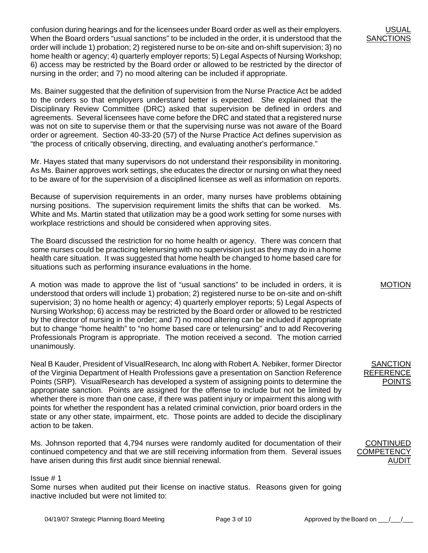confusion during hearings and for the licensees under Board order as well as their employers. When the Board orders "usual sanctions" to be included in the order, it is understood that the order will include 1) probation; 2) registered nurse to be on-site and on-shift supervision; 3) no home health or agency; 4) quarterly employer reports; 5) Legal Aspects of Nursing Workshop; 6) access may be restricted by the Board order or allowed to be restricted by the director of nursing in the order; and 7) no mood altering can be included if appropriate.

Ms. Bainer suggested that the definition of supervision from the Nurse Practice Act be added to the orders so that employers understand better is expected. She explained that the Disciplinary Review Committee (DRC) asked that supervision be defined in orders and agreements. Several licensees have come before the DRC and stated that a registered nurse was not on site to supervise them or that the supervising nurse was not aware of the Board order or agreement. Section 40-33-20 (57) of the Nurse Practice Act defines supervision as "the process of critically observing, directing, and evaluating another's performance."

Mr. Hayes stated that many supervisors do not understand their responsibility in monitoring. As Ms. Bainer approves work settings, she educates the director or nursing on what they need to be aware of for the supervision of a disciplined licensee as well as information on reports.

Because of supervision requirements in an order, many nurses have problems obtaining nursing positions. The supervision requirement limits the shifts that can be worked. Ms. White and Ms. Martin stated that utilization may be a good work setting for some nurses with workplace restrictions and should be considered when approving sites.

The Board discussed the restriction for no home health or agency. There was concern that some nurses could be practicing telenursing with no supervision just as they may do in a home health care situation. It was suggested that home health be changed to home based care for situations such as performing insurance evaluations in the home.

A motion was made to approve the list of "usual sanctions" to be included in orders, it is understood that orders will include 1) probation; 2) registered nurse to be on-site and on-shift supervision; 3) no home health or agency; 4) quarterly employer reports; 5) Legal Aspects of Nursing Workshop; 6) access may be restricted by the Board order or allowed to be restricted by the director of nursing in the order; and 7) no mood altering can be included if appropriate but to change "home health" to "no home based care or telenursing" and to add Recovering Professionals Program is appropriate. The motion received a second. The motion carried unanimously.

Neal B Kauder, President of VisualResearch, Inc along with Robert A. Nebiker, former Director of the Virginia Department of Health Professions gave a presentation on Sanction Reference Points (SRP). VisualResearch has developed a system of assigning points to determine the appropriate sanction. Points are assigned for the offense to include but not be limited by whether there is more than one case, if there was patient injury or impairment this along with points for whether the respondent has a related criminal conviction, prior board orders in the state or any other state, impairment, etc. Those points are added to decide the disciplinary action to be taken.

Ms. Johnson reported that 4,794 nurses were randomly audited for documentation of their continued competency and that we are still receiving information from them. Several issues have arisen during this first audit since biennial renewal.

#### Issue # 1

Some nurses when audited put their license on inactive status. Reasons given for going inactive included but were not limited to:

SANCTION **REFEREN** POINTS

MOTION

# **CONTINUED COMPETENCY** AUDIT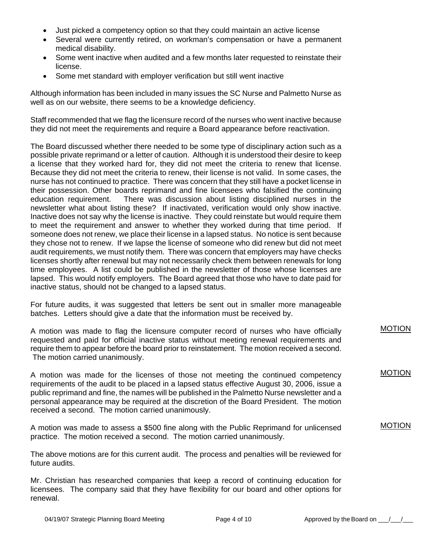- Just picked a competency option so that they could maintain an active license
- Several were currently retired, on workman's compensation or have a permanent medical disability.
- Some went inactive when audited and a few months later requested to reinstate their license.
- Some met standard with employer verification but still went inactive

Although information has been included in many issues the SC Nurse and Palmetto Nurse as well as on our website, there seems to be a knowledge deficiency.

Staff recommended that we flag the licensure record of the nurses who went inactive because they did not meet the requirements and require a Board appearance before reactivation.

The Board discussed whether there needed to be some type of disciplinary action such as a possible private reprimand or a letter of caution. Although it is understood their desire to keep a license that they worked hard for, they did not meet the criteria to renew that license. Because they did not meet the criteria to renew, their license is not valid. In some cases, the nurse has not continued to practice. There was concern that they still have a pocket license in their possession. Other boards reprimand and fine licensees who falsified the continuing education requirement. There was discussion about listing disciplined nurses in the newsletter what about listing these? If inactivated, verification would only show inactive. Inactive does not say why the license is inactive. They could reinstate but would require them to meet the requirement and answer to whether they worked during that time period. If someone does not renew, we place their license in a lapsed status. No notice is sent because they chose not to renew. If we lapse the license of someone who did renew but did not meet audit requirements, we must notify them. There was concern that employers may have checks licenses shortly after renewal but may not necessarily check them between renewals for long time employees. A list could be published in the newsletter of those whose licenses are lapsed. This would notify employers. The Board agreed that those who have to date paid for inactive status, should not be changed to a lapsed status.

For future audits, it was suggested that letters be sent out in smaller more manageable batches. Letters should give a date that the information must be received by.

A motion was made to flag the licensure computer record of nurses who have officially requested and paid for official inactive status without meeting renewal requirements and require them to appear before the board prior to reinstatement. The motion received a second. The motion carried unanimously. MOTION

A motion was made for the licenses of those not meeting the continued competency requirements of the audit to be placed in a lapsed status effective August 30, 2006, issue a public reprimand and fine, the names will be published in the Palmetto Nurse newsletter and a personal appearance may be required at the discretion of the Board President. The motion received a second. The motion carried unanimously.

A motion was made to assess a \$500 fine along with the Public Reprimand for unlicensed practice. The motion received a second. The motion carried unanimously.

The above motions are for this current audit. The process and penalties will be reviewed for future audits.

Mr. Christian has researched companies that keep a record of continuing education for licensees. The company said that they have flexibility for our board and other options for renewal.

MOTION

MOTION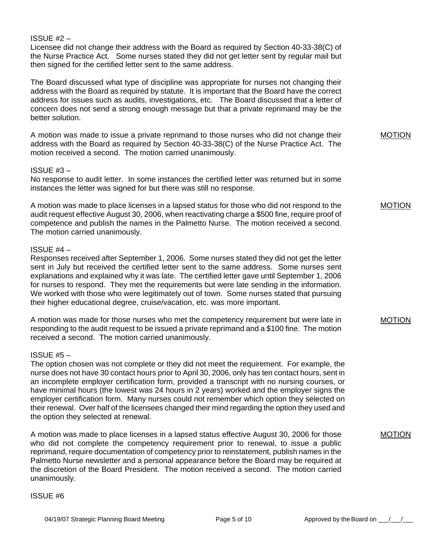#### ISSUE #2 –

Licensee did not change their address with the Board as required by Section 40-33-38(C) of the Nurse Practice Act. Some nurses stated they did not get letter sent by regular mail but then signed for the certified letter sent to the same address.

The Board discussed what type of discipline was appropriate for nurses not changing their address with the Board as required by statute. It is important that the Board have the correct address for issues such as audits, investigations, etc. The Board discussed that a letter of concern does not send a strong enough message but that a private reprimand may be the better solution.

A motion was made to issue a private reprimand to those nurses who did not change their address with the Board as required by Section 40-33-38(C) of the Nurse Practice Act. The motion received a second. The motion carried unanimously.

#### ISSUE #3 –

No response to audit letter. In some instances the certified letter was returned but in some instances the letter was signed for but there was still no response.

A motion was made to place licenses in a lapsed status for those who did not respond to the audit request effective August 30, 2006, when reactivating charge a \$500 fine, require proof of competence and publish the names in the Palmetto Nurse. The motion received a second. The motion carried unanimously.

## ISSUE #4 –

Responses received after September 1, 2006. Some nurses stated they did not get the letter sent in July but received the certified letter sent to the same address. Some nurses sent explanations and explained why it was late. The certified letter gave until September 1, 2006 for nurses to respond. They met the requirements but were late sending in the information. We worked with those who were legitimately out of town. Some nurses stated that pursuing their higher educational degree, cruise/vacation, etc. was more important.

A motion was made for those nurses who met the competency requirement but were late in responding to the audit request to be issued a private reprimand and a \$100 fine. The motion received a second. The motion carried unanimously.

## ISSUE #5 –

The option chosen was not complete or they did not meet the requirement. For example, the nurse does not have 30 contact hours prior to April 30, 2006, only has ten contact hours, sent in an incomplete employer certification form, provided a transcript with no nursing courses, or have minimal hours (the lowest was 24 hours in 2 years) worked and the employer signs the employer certification form. Many nurses could not remember which option they selected on their renewal. Over half of the licensees changed their mind regarding the option they used and the option they selected at renewal.

A motion was made to place licenses in a lapsed status effective August 30, 2006 for those who did not complete the competency requirement prior to renewal, to issue a public reprimand, require documentation of competency prior to reinstatement, publish names in the Palmetto Nurse newsletter and a personal appearance before the Board may be required at the discretion of the Board President. The motion received a second. The motion carried unanimously.

ISSUE #6

MOTION

MOTION

MOTION

MOTION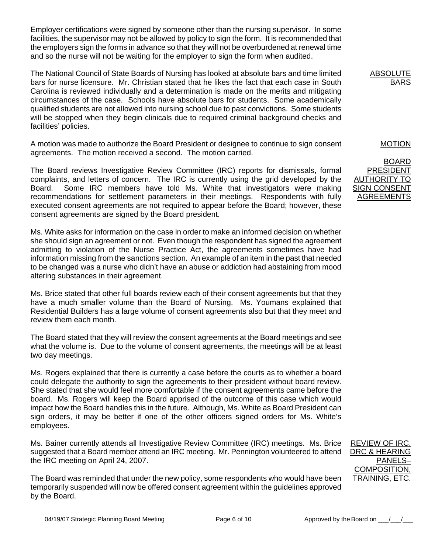Employer certifications were signed by someone other than the nursing supervisor. In some facilities, the supervisor may not be allowed by policy to sign the form. It is recommended that the employers sign the forms in advance so that they will not be overburdened at renewal time and so the nurse will not be waiting for the employer to sign the form when audited.

The National Council of State Boards of Nursing has looked at absolute bars and time limited bars for nurse licensure. Mr. Christian stated that he likes the fact that each case in South Carolina is reviewed individually and a determination is made on the merits and mitigating circumstances of the case. Schools have absolute bars for students. Some academically qualified students are not allowed into nursing school due to past convictions. Some students will be stopped when they begin clinicals due to required criminal background checks and facilities' policies.

A motion was made to authorize the Board President or designee to continue to sign consent agreements. The motion received a second. The motion carried.

The Board reviews Investigative Review Committee (IRC) reports for dismissals, formal complaints, and letters of concern. The IRC is currently using the grid developed by the Board. Some IRC members have told Ms. White that investigators were making recommendations for settlement parameters in their meetings. Respondents with fully executed consent agreements are not required to appear before the Board; however, these consent agreements are signed by the Board president.

Ms. White asks for information on the case in order to make an informed decision on whether she should sign an agreement or not. Even though the respondent has signed the agreement admitting to violation of the Nurse Practice Act, the agreements sometimes have had information missing from the sanctions section. An example of an item in the past that needed to be changed was a nurse who didn't have an abuse or addiction had abstaining from mood altering substances in their agreement.

Ms. Brice stated that other full boards review each of their consent agreements but that they have a much smaller volume than the Board of Nursing. Ms. Youmans explained that Residential Builders has a large volume of consent agreements also but that they meet and review them each month.

The Board stated that they will review the consent agreements at the Board meetings and see what the volume is. Due to the volume of consent agreements, the meetings will be at least two day meetings.

Ms. Rogers explained that there is currently a case before the courts as to whether a board could delegate the authority to sign the agreements to their president without board review. She stated that she would feel more comfortable if the consent agreements came before the board. Ms. Rogers will keep the Board apprised of the outcome of this case which would impact how the Board handles this in the future. Although, Ms. White as Board President can sign orders, it may be better if one of the other officers signed orders for Ms. White's employees.

Ms. Bainer currently attends all Investigative Review Committee (IRC) meetings. Ms. Brice suggested that a Board member attend an IRC meeting. Mr. Pennington volunteered to attend the IRC meeting on April 24, 2007.

The Board was reminded that under the new policy, some respondents who would have been temporarily suspended will now be offered consent agreement within the guidelines approved by the Board.

REVIEW OF IRC, DRC & HEARING PANEL COMPOSITION, **TRAINING, ETC.** 

MOTION

**ABSOLUTE** 

**BARS** 

BOARD PRESIDENT

AUTHORITY TO SIGN CONSENT AGREEMENTS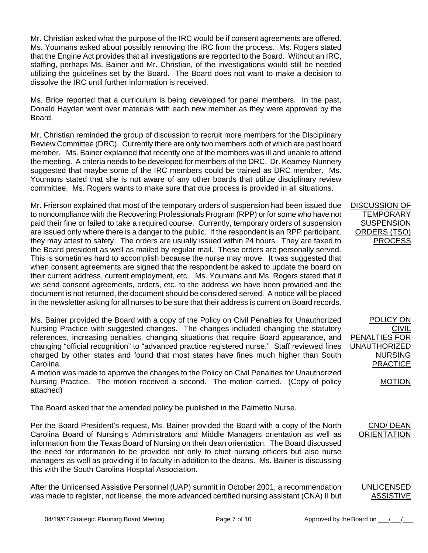Mr. Christian asked what the purpose of the IRC would be if consent agreements are offered. Ms. Youmans asked about possibly removing the IRC from the process. Ms. Rogers stated that the Engine Act provides that all investigations are reported to the Board. Without an IRC, staffing, perhaps Ms. Bainer and Mr. Christian, of the investigations would still be needed utilizing the guidelines set by the Board. The Board does not want to make a decision to dissolve the IRC until further information is received.

Ms. Brice reported that a curriculum is being developed for panel members. In the past, Donald Hayden went over materials with each new member as they were approved by the Board.

Mr. Christian reminded the group of discussion to recruit more members for the Disciplinary Review Committee (DRC). Currently there are only two members both of which are past board member. Ms. Bainer explained that recently one of the members was ill and unable to attend the meeting. A criteria needs to be developed for members of the DRC. Dr. Kearney-Nunnery suggested that maybe some of the IRC members could be trained as DRC member. Ms. Youmans stated that she is not aware of any other boards that utilize disciplinary review committee. Ms. Rogers wants to make sure that due process is provided in all situations.

Mr. Frierson explained that most of the temporary orders of suspension had been issued due to noncompliance with the Recovering Professionals Program (RPP) or for some who have not paid their fine or failed to take a required course. Currently, temporary orders of suspension are issued only where there is a danger to the public. If the respondent is an RPP participant, they may attest to safety. The orders are usually issued within 24 hours. They are faxed to the Board president as well as mailed by regular mail. These orders are personally served. This is sometimes hard to accomplish because the nurse may move. It was suggested that when consent agreements are signed that the respondent be asked to update the board on their current address, current employment, etc. Ms. Youmans and Ms. Rogers stated that if we send consent agreements, orders, etc. to the address we have been provided and the document is not returned, the document should be considered served. A notice will be placed in the newsletter asking for all nurses to be sure that their address is current on Board records.

Ms. Bainer provided the Board with a copy of the Policy on Civil Penalties for Unauthorized Nursing Practice with suggested changes. The changes included changing the statutory references, increasing penalties, changing situations that require Board appearance, and changing "official recognition" to "advanced practice registered nurse." Staff reviewed fines charged by other states and found that most states have fines much higher than South Carolina.

A motion was made to approve the changes to the Policy on Civil Penalties for Unauthorized Nursing Practice. The motion received a second. The motion carried. (Copy of policy attached)

The Board asked that the amended policy be published in the Palmetto Nurse.

Per the Board President's request, Ms. Bainer provided the Board with a copy of the North Carolina Board of Nursing's Administrators and Middle Managers orientation as well as information from the Texas Board of Nursing on their dean orientation. The Board discussed the need for information to be provided not only to chief nursing officers but also nurse managers as well as providing it to faculty in addition to the deans. Ms. Bainer is discussing this with the South Carolina Hospital Association.

After the Unlicensed Assistive Personnel (UAP) summit in October 2001, a recommendation was made to register, not license, the more advanced certified nursing assistant (CNA) II but

POLICY ON CIVIL PENALTIES FOR UNAUTHORIZED NURSING **PRACTICE** 

MOTION

#### CNO/ DEAN **ORIENTATION**

UNLICENSED ASSISTIVE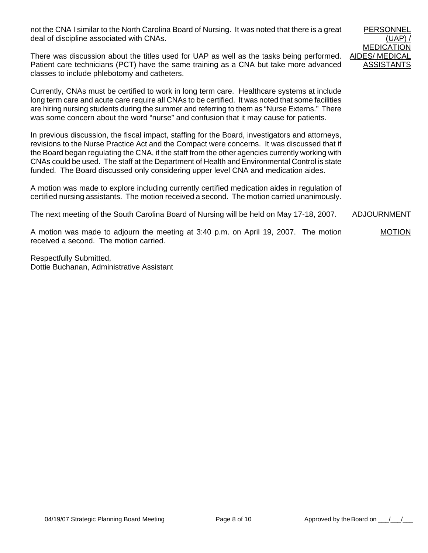not the CNA I similar to the North Carolina Board of Nursing. It was noted that there is a great deal of discipline associated with CNAs.

PERSONNE (UAP) / MEDICATI AIDES/ MEDIC **ASSISTAN** 

There was discussion about the titles used for UAP as well as the tasks being performed. Patient care technicians (PCT) have the same training as a CNA but take more advanced classes to include phlebotomy and catheters.

Currently, CNAs must be certified to work in long term care. Healthcare systems at include long term care and acute care require all CNAs to be certified. It was noted that some facilities are hiring nursing students during the summer and referring to them as "Nurse Externs." There was some concern about the word "nurse" and confusion that it may cause for patients.

In previous discussion, the fiscal impact, staffing for the Board, investigators and attorneys, revisions to the Nurse Practice Act and the Compact were concerns. It was discussed that if the Board began regulating the CNA, if the staff from the other agencies currently working with CNAs could be used. The staff at the Department of Health and Environmental Control is state funded. The Board discussed only considering upper level CNA and medication aides.

A motion was made to explore including currently certified medication aides in regulation of certified nursing assistants. The motion received a second. The motion carried unanimously.

| The next meeting of the South Carolina Board of Nursing will be held on May 17-18, 2007. | ADJOURNMENT |
|------------------------------------------------------------------------------------------|-------------|
|                                                                                          |             |

A motion was made to adjourn the meeting at 3:40 p.m. on April 19, 2007. The motion received a second. The motion carried. MOTION

Respectfully Submitted, Dottie Buchanan, Administrative Assistant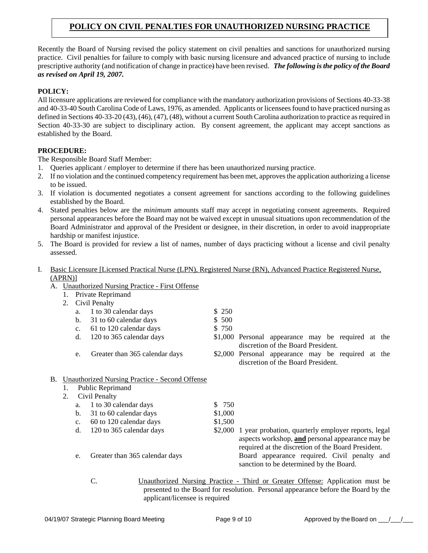# **POLICY ON CIVIL PENALTIES FOR UNAUTHORIZED NURSING PRACTICE**

Recently the Board of Nursing revised the policy statement on civil penalties and sanctions for unauthorized nursing practice. Civil penalties for failure to comply with basic nursing licensure and advanced practice of nursing to include prescriptive authority (and notification of change in practice) have been revised. *The following is the policy of the Board as revised on April 19, 2007.*

## **POLICY:**

All licensure applications are reviewed for compliance with the mandatory authorization provisions of Sections 40-33-38 and 40-33-40 South Carolina Code of Laws, 1976, as amended. Applicants or licensees found to have practiced nursing as defined in Sections 40-33-20 (43), (46), (47), (48), without a current South Carolina authorization to practice as required in Section 40-33-30 are subject to disciplinary action. By consent agreement, the applicant may accept sanctions as established by the Board.

## **PROCEDURE:**

The Responsible Board Staff Member:

- 1. Queries applicant / employer to determine if there has been unauthorized nursing practice.
- 2. If no violation and the continued competency requirement has been met, approves the application authorizing a license to be issued.
- 3. If violation is documented negotiates a consent agreement for sanctions according to the following guidelines established by the Board.
- 4. Stated penalties below are the *minimum* amounts staff may accept in negotiating consent agreements. Required personal appearances before the Board may not be waived except in unusual situations upon recommendation of the Board Administrator and approval of the President or designee, in their discretion, in order to avoid inappropriate hardship or manifest injustice.
- 5. The Board is provided for review a list of names, number of days practicing without a license and civil penalty assessed.
- I. Basic Licensure [Licensed Practical Nurse (LPN), Registered Nurse (RN), Advanced Practice Registered Nurse, (APRN)]
	- A. Unauthorized Nursing Practice First Offense
		- 1. Private Reprimand
		- 2. Civil Penalty

| a. 1 to 30 calendar days     | \$ 250 |
|------------------------------|--------|
| b. $31$ to 60 calendar days  | \$ 500 |
| c. $61$ to 120 calendar days | \$ 750 |

- 
- 
- d. 120 to 365 calendar days \$1,000 Personal appearance may be required at the discretion of the Board President.
- e. Greater than 365 calendar days \$2,000 Personal appearance may be required at the discretion of the Board President.
- B. Unauthorized Nursing Practice Second Offense
	- 1. Public Reprimand
	- 2. Civil Penalty a. 1 to 30 calendar days  $$750$ b.  $31$  to 60 calendar days  $$1,000$ c.  $60$  to 120 calendar days  $$1,500$ 
		-
		-
		- d. 120 to 365 calendar days \$2,000 1 year probation, quarterly employer reports, legal aspects workshop, **and** personal appearance may be required at the discretion of the Board President. e. Greater than 365 calendar days Board appearance required. Civil penalty and sanction to be determined by the Board.
			- C. Unauthorized Nursing Practice Third or Greater Offense: Application must be presented to the Board for resolution. Personal appearance before the Board by the applicant/licensee is required